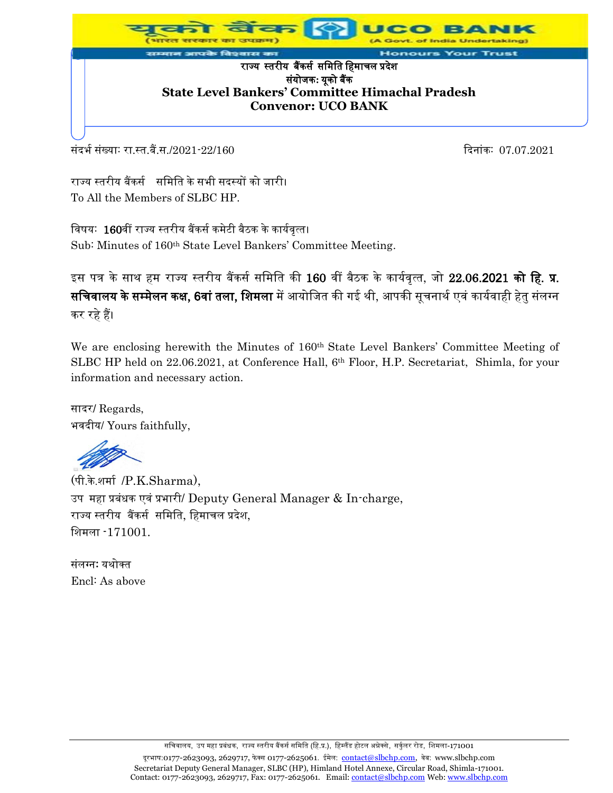

र्सदर्भ संख्याः रा.स्त.बैं.स./2021-22/160 दिनांकः 07.07.2021

राज्य स्तरीय बैंकर्स समिति के सभी सदस्यों को जारी। To All the Members of SLBC HP.

विषय: 160वीं राज्य स्तरीय बैंकर्स कमेटी बैठक के कार्यवृत्त।

Sub: Minutes of 160th State Level Bankers' Committee Meeting.

इस पत्र के साथ हम राज्य स्तरीय बैंकर्स समिति की 160 वीं बैठक के कार्यवृत्त, जो 22.06.2021 **को हि. प्र.** सचिवालय के सम्मेलन कक्ष, 6वां तला, शिमला में आयोजित की गई थी, आपकी सूचनार्थ एवं कार्यवाही हेतु संलग्न कर रहे हैं।

We are enclosing herewith the Minutes of 160<sup>th</sup> State Level Bankers' Committee Meeting of SLBC HP held on 22.06.2021, at Conference Hall, 6<sup>th</sup> Floor, H.P. Secretariat, Shimla, for your information and necessary action.

सादर/ Regards, भवदीय/ Yours faithfully,

(पी.के.शिास /P.K.Sharma), उप महा प्रबंधक एवं प्रभारी/ Deputy General Manager & In-charge, राज्य स्तरीय बैंकर्स र्मिमत, मििाचल प्रदेश, मशिला -171001.

संलग्न: यथोक्त Encl: As above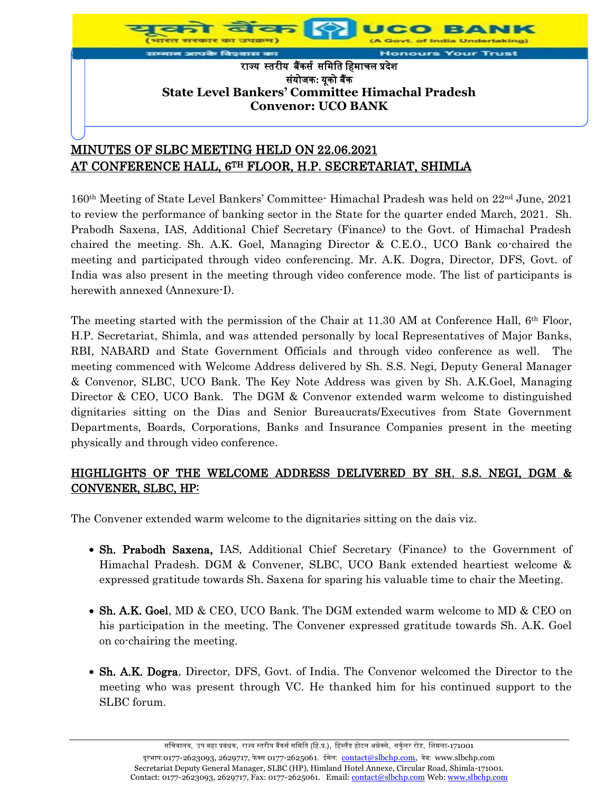

# MINUTES OF SLBC MEETING HELD ON 22.06.2021 AT CONFERENCE HALL, 6TH FLOOR, H.P. SECRETARIAT, SHIMLA

160<sup>th</sup> Meeting of State Level Bankers' Committee-Himachal Pradesh was held on 22<sup>nd</sup> June, 2021 to review the performance of banking sector in the State for the quarter ended March, 2021. Sh. Prabodh Saxena, IAS, Additional Chief Secretary (Finance) to the Govt. of Himachal Pradesh chaired the meeting. Sh. A.K. Goel, Managing Director & C.E.O., UCO Bank co-chaired the meeting and participated through video conferencing. Mr. A.K. Dogra, Director, DFS, Govt. of India was also present in the meeting through video conference mode. The list of participants is herewith annexed (Annexure-I).

The meeting started with the permission of the Chair at 11.30 AM at Conference Hall, 6<sup>th</sup> Floor, H.P. Secretariat, Shimla, and was attended personally by local Representatives of Major Banks, RBI, NABARD and State Government Officials and through video conference as well. meeting commenced with Welcome Address delivered by Sh. S.S. Negi, Deputy General Manager & Convenor, SLBC, UCO Bank. The Key Note Address was given by Sh. A.K.Goel, Managing Director & CEO, UCO Bank. The DGM & Convenor extended warm welcome to distinguished dignitaries sitting on the Dias and Senior Bureaucrats/Executives from State Government Departments, Boards, Corporations, Banks and Insurance Companies present in the meeting physically and through video conference.

## HIGHLIGHTS OF THE WELCOME ADDRESS DELIVERED BY SH. S.S. NEGI, DGM & CONVENER, SLBC, HP:

The Convener extended warm welcome to the dignitaries sitting on the dais viz.

- Sh. Prabodh Saxena, IAS, Additional Chief Secretary (Finance) to the Government of Himachal Pradesh. DGM & Convener, SLBC, UCO Bank extended heartiest welcome & expressed gratitude towards Sh. Saxena for sparing his valuable time to chair the Meeting.
- Sh. A.K. Goel, MD & CEO, UCO Bank. The DGM extended warm welcome to MD & CEO on his participation in the meeting. The Convener expressed gratitude towards Sh. A.K. Goel on co-chairing the meeting.
- Sh. A.K. Dogra, Director, DFS, Govt. of India. The Convenor welcomed the Director to the meeting who was present through VC. He thanked him for his continued support to the SLBC forum.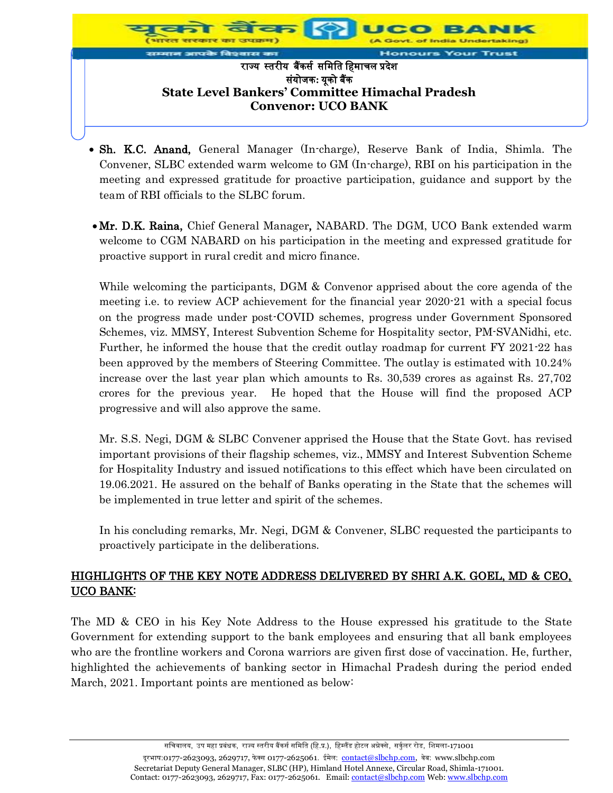

- Sh. K.C. Anand, General Manager (In-charge), Reserve Bank of India, Shimla. The Convener, SLBC extended warm welcome to GM (In-charge), RBI on his participation in the meeting and expressed gratitude for proactive participation, guidance and support by the team of RBI officials to the SLBC forum.
- Mr. D.K. Raina, Chief General Manager, NABARD. The DGM, UCO Bank extended warm welcome to CGM NABARD on his participation in the meeting and expressed gratitude for proactive support in rural credit and micro finance.

While welcoming the participants, DGM & Convenor apprised about the core agenda of the meeting i.e. to review ACP achievement for the financial year 2020-21 with a special focus on the progress made under post-COVID schemes, progress under Government Sponsored Schemes, viz. MMSY, Interest Subvention Scheme for Hospitality sector, PM-SVANidhi, etc. Further, he informed the house that the credit outlay roadmap for current FY 2021-22 has been approved by the members of Steering Committee. The outlay is estimated with 10.24% increase over the last year plan which amounts to Rs. 30,539 crores as against Rs. 27,702 crores for the previous year. He hoped that the House will find the proposed ACP progressive and will also approve the same.

Mr. S.S. Negi, DGM & SLBC Convener apprised the House that the State Govt. has revised important provisions of their flagship schemes, viz., MMSY and Interest Subvention Scheme for Hospitality Industry and issued notifications to this effect which have been circulated on 19.06.2021. He assured on the behalf of Banks operating in the State that the schemes will be implemented in true letter and spirit of the schemes.

In his concluding remarks, Mr. Negi, DGM & Convener, SLBC requested the participants to proactively participate in the deliberations.

# HIGHLIGHTS OF THE KEY NOTE ADDRESS DELIVERED BY SHRI A.K. GOEL, MD & CEO, UCO BANK:

The MD & CEO in his Key Note Address to the House expressed his gratitude to the State Government for extending support to the bank employees and ensuring that all bank employees who are the frontline workers and Corona warriors are given first dose of vaccination. He, further, highlighted the achievements of banking sector in Himachal Pradesh during the period ended March, 2021. Important points are mentioned as below: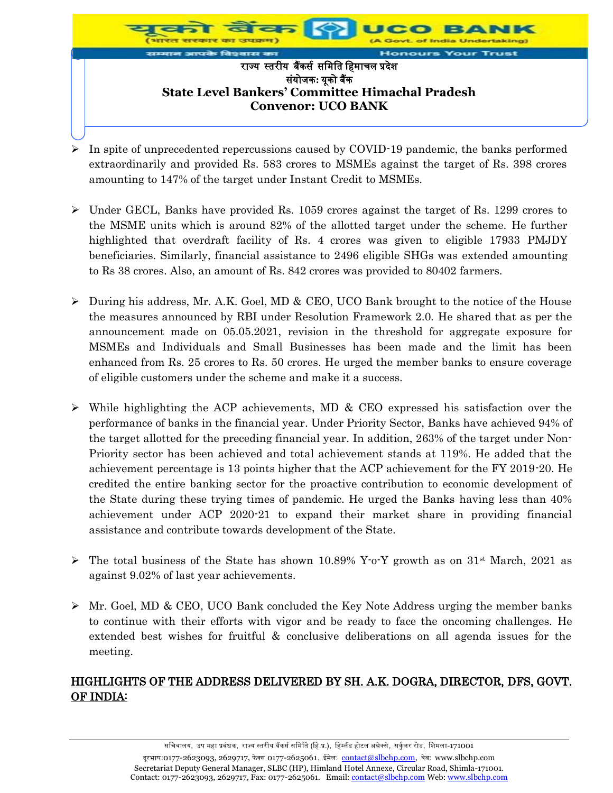

- $\triangleright$  In spite of unprecedented repercussions caused by COVID-19 pandemic, the banks performed extraordinarily and provided Rs. 583 crores to MSMEs against the target of Rs. 398 crores amounting to 147% of the target under Instant Credit to MSMEs.
- $\triangleright$  Under GECL, Banks have provided Rs. 1059 crores against the target of Rs. 1299 crores to the MSME units which is around 82% of the allotted target under the scheme. He further highlighted that overdraft facility of Rs. 4 crores was given to eligible 17933 PMJDY beneficiaries. Similarly, financial assistance to 2496 eligible SHGs was extended amounting to Rs 38 crores. Also, an amount of Rs. 842 crores was provided to 80402 farmers.
- $\triangleright$  During his address, Mr. A.K. Goel, MD & CEO, UCO Bank brought to the notice of the House the measures announced by RBI under Resolution Framework 2.0. He shared that as per the announcement made on 05.05.2021, revision in the threshold for aggregate exposure for MSMEs and Individuals and Small Businesses has been made and the limit has been enhanced from Rs. 25 crores to Rs. 50 crores. He urged the member banks to ensure coverage of eligible customers under the scheme and make it a success.
- $\triangleright$  While highlighting the ACP achievements, MD & CEO expressed his satisfaction over the performance of banks in the financial year. Under Priority Sector, Banks have achieved 94% of the target allotted for the preceding financial year. In addition, 263% of the target under Non-Priority sector has been achieved and total achievement stands at 119%. He added that the achievement percentage is 13 points higher that the ACP achievement for the FY 2019-20. He credited the entire banking sector for the proactive contribution to economic development of the State during these trying times of pandemic. He urged the Banks having less than 40% achievement under ACP 2020-21 to expand their market share in providing financial assistance and contribute towards development of the State.
- $\triangleright$  The total business of the State has shown 10.89% Y-o-Y growth as on 31<sup>st</sup> March, 2021 as against 9.02% of last year achievements.
- $\triangleright$  Mr. Goel, MD & CEO, UCO Bank concluded the Key Note Address urging the member banks to continue with their efforts with vigor and be ready to face the oncoming challenges. He extended best wishes for fruitful & conclusive deliberations on all agenda issues for the meeting.

# HIGHLIGHTS OF THE ADDRESS DELIVERED BY SH. A.K. DOGRA, DIRECTOR, DFS, GOVT. OF INDIA: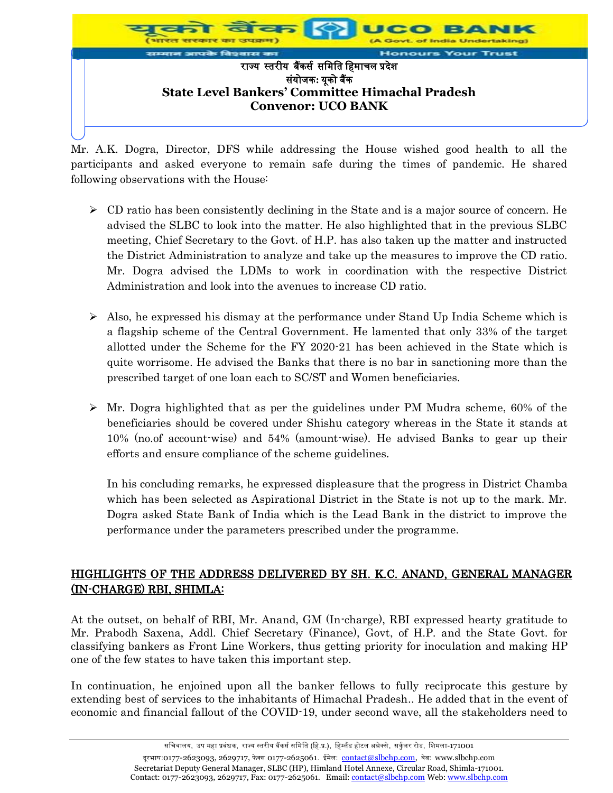

Mr. A.K. Dogra, Director, DFS while addressing the House wished good health to all the participants and asked everyone to remain safe during the times of pandemic. He shared following observations with the House:

- $\triangleright$  CD ratio has been consistently declining in the State and is a major source of concern. He advised the SLBC to look into the matter. He also highlighted that in the previous SLBC meeting, Chief Secretary to the Govt. of H.P. has also taken up the matter and instructed the District Administration to analyze and take up the measures to improve the CD ratio. Mr. Dogra advised the LDMs to work in coordination with the respective District Administration and look into the avenues to increase CD ratio.
- $\triangleright$  Also, he expressed his dismay at the performance under Stand Up India Scheme which is a flagship scheme of the Central Government. He lamented that only 33% of the target allotted under the Scheme for the FY 2020-21 has been achieved in the State which is quite worrisome. He advised the Banks that there is no bar in sanctioning more than the prescribed target of one loan each to SC/ST and Women beneficiaries.
- $\triangleright$  Mr. Dogra highlighted that as per the guidelines under PM Mudra scheme, 60% of the beneficiaries should be covered under Shishu category whereas in the State it stands at 10% (no.of account-wise) and 54% (amount-wise). He advised Banks to gear up their efforts and ensure compliance of the scheme guidelines.

In his concluding remarks, he expressed displeasure that the progress in District Chamba which has been selected as Aspirational District in the State is not up to the mark. Mr. Dogra asked State Bank of India which is the Lead Bank in the district to improve the performance under the parameters prescribed under the programme.

# HIGHLIGHTS OF THE ADDRESS DELIVERED BY SH. K.C. ANAND, GENERAL MANAGER (IN-CHARGE) RBI, SHIMLA:

At the outset, on behalf of RBI, Mr. Anand, GM (In-charge), RBI expressed hearty gratitude to Mr. Prabodh Saxena, Addl. Chief Secretary (Finance), Govt, of H.P. and the State Govt. for classifying bankers as Front Line Workers, thus getting priority for inoculation and making HP one of the few states to have taken this important step.

In continuation, he enjoined upon all the banker fellows to fully reciprocate this gesture by extending best of services to the inhabitants of Himachal Pradesh.. He added that in the event of economic and financial fallout of the COVID-19, under second wave, all the stakeholders need to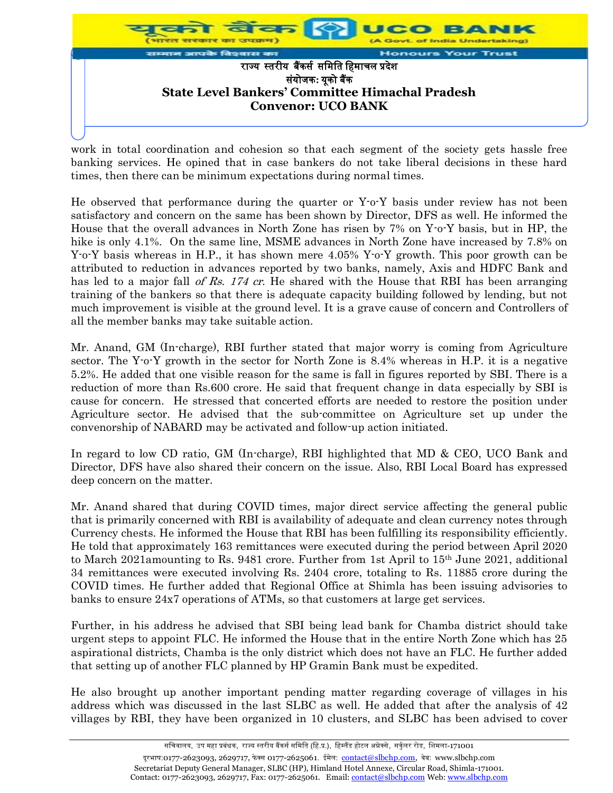

work in total coordination and cohesion so that each segment of the society gets hassle free banking services. He opined that in case bankers do not take liberal decisions in these hard times, then there can be minimum expectations during normal times.

He observed that performance during the quarter or Y-o-Y basis under review has not been satisfactory and concern on the same has been shown by Director, DFS as well. He informed the House that the overall advances in North Zone has risen by 7% on Y-o-Y basis, but in HP, the hike is only 4.1%. On the same line, MSME advances in North Zone have increased by 7.8% on Y-o-Y basis whereas in H.P., it has shown mere 4.05% Y-o-Y growth. This poor growth can be attributed to reduction in advances reported by two banks, namely, Axis and HDFC Bank and has led to a major fall of Rs. 174 cr. He shared with the House that RBI has been arranging training of the bankers so that there is adequate capacity building followed by lending, but not much improvement is visible at the ground level. It is a grave cause of concern and Controllers of all the member banks may take suitable action.

Mr. Anand, GM (In-charge), RBI further stated that major worry is coming from Agriculture sector. The Y-o-Y growth in the sector for North Zone is 8.4% whereas in H.P. it is a negative 5.2%. He added that one visible reason for the same is fall in figures reported by SBI. There is a reduction of more than Rs.600 crore. He said that frequent change in data especially by SBI is cause for concern. He stressed that concerted efforts are needed to restore the position under Agriculture sector. He advised that the sub-committee on Agriculture set up under the convenorship of NABARD may be activated and follow-up action initiated.

In regard to low CD ratio, GM (In-charge), RBI highlighted that MD & CEO, UCO Bank and Director, DFS have also shared their concern on the issue. Also, RBI Local Board has expressed deep concern on the matter.

Mr. Anand shared that during COVID times, major direct service affecting the general public that is primarily concerned with RBI is availability of adequate and clean currency notes through Currency chests. He informed the House that RBI has been fulfilling its responsibility efficiently. He told that approximately 163 remittances were executed during the period between April 2020 to March 2021amounting to Rs. 9481 crore. Further from 1st April to  $15<sup>th</sup>$  June 2021, additional 34 remittances were executed involving Rs. 2404 crore, totaling to Rs. 11885 crore during the COVID times. He further added that Regional Office at Shimla has been issuing advisories to banks to ensure 24x7 operations of ATMs, so that customers at large get services.

Further, in his address he advised that SBI being lead bank for Chamba district should take urgent steps to appoint FLC. He informed the House that in the entire North Zone which has 25 aspirational districts, Chamba is the only district which does not have an FLC. He further added that setting up of another FLC planned by HP Gramin Bank must be expedited.

He also brought up another important pending matter regarding coverage of villages in his address which was discussed in the last SLBC as well. He added that after the analysis of 42 villages by RBI, they have been organized in 10 clusters, and SLBC has been advised to cover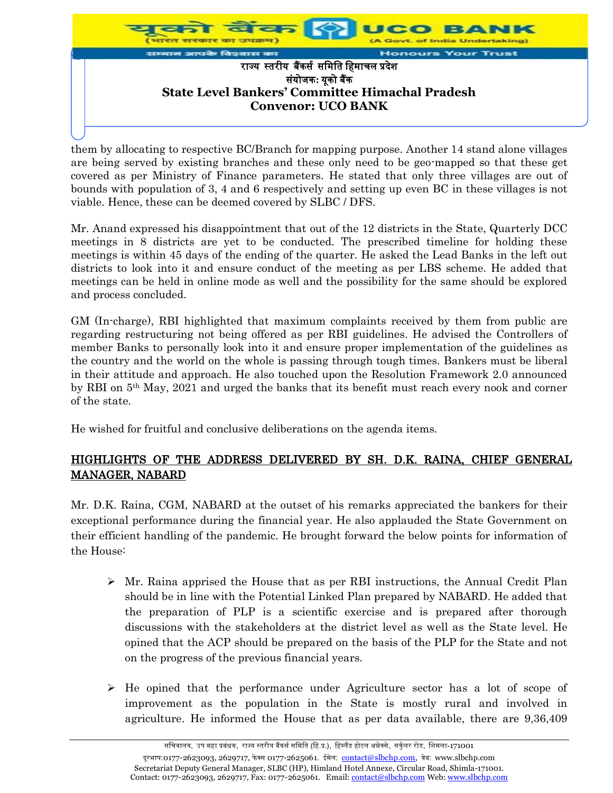

them by allocating to respective BC/Branch for mapping purpose. Another 14 stand alone villages are being served by existing branches and these only need to be geo-mapped so that these get covered as per Ministry of Finance parameters. He stated that only three villages are out of bounds with population of 3, 4 and 6 respectively and setting up even BC in these villages is not viable. Hence, these can be deemed covered by SLBC / DFS.

Mr. Anand expressed his disappointment that out of the 12 districts in the State, Quarterly DCC meetings in 8 districts are yet to be conducted. The prescribed timeline for holding these meetings is within 45 days of the ending of the quarter. He asked the Lead Banks in the left out districts to look into it and ensure conduct of the meeting as per LBS scheme. He added that meetings can be held in online mode as well and the possibility for the same should be explored and process concluded.

GM (In-charge), RBI highlighted that maximum complaints received by them from public are regarding restructuring not being offered as per RBI guidelines. He advised the Controllers of member Banks to personally look into it and ensure proper implementation of the guidelines as the country and the world on the whole is passing through tough times. Bankers must be liberal in their attitude and approach. He also touched upon the Resolution Framework 2.0 announced by RBI on 5th May, 2021 and urged the banks that its benefit must reach every nook and corner of the state.

He wished for fruitful and conclusive deliberations on the agenda items.

## HIGHLIGHTS OF THE ADDRESS DELIVERED BY SH. D.K. RAINA, CHIEF GENERAL MANAGER, NABARD

Mr. D.K. Raina, CGM, NABARD at the outset of his remarks appreciated the bankers for their exceptional performance during the financial year. He also applauded the State Government on their efficient handling of the pandemic. He brought forward the below points for information of the House:

- $\triangleright$  Mr. Raina apprised the House that as per RBI instructions, the Annual Credit Plan should be in line with the Potential Linked Plan prepared by NABARD. He added that the preparation of PLP is a scientific exercise and is prepared after thorough discussions with the stakeholders at the district level as well as the State level. He opined that the ACP should be prepared on the basis of the PLP for the State and not on the progress of the previous financial years.
- $\triangleright$  He opined that the performance under Agriculture sector has a lot of scope of improvement as the population in the State is mostly rural and involved in agriculture. He informed the House that as per data available, there are 9,36,409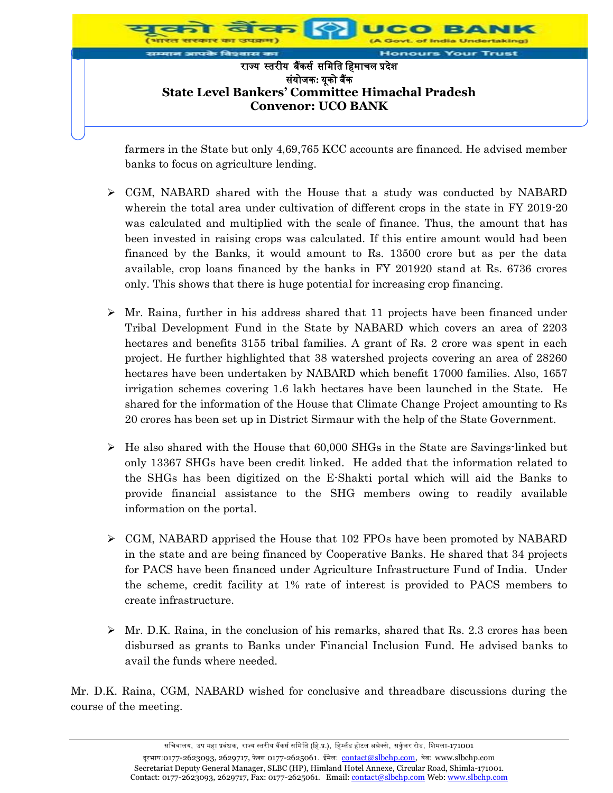

farmers in the State but only 4,69,765 KCC accounts are financed. He advised member banks to focus on agriculture lending.

- $\triangleright$  CGM, NABARD shared with the House that a study was conducted by NABARD wherein the total area under cultivation of different crops in the state in FY 2019-20 was calculated and multiplied with the scale of finance. Thus, the amount that has been invested in raising crops was calculated. If this entire amount would had been financed by the Banks, it would amount to Rs. 13500 crore but as per the data available, crop loans financed by the banks in FY 201920 stand at Rs. 6736 crores only. This shows that there is huge potential for increasing crop financing.
- $\triangleright$  Mr. Raina, further in his address shared that 11 projects have been financed under Tribal Development Fund in the State by NABARD which covers an area of 2203 hectares and benefits 3155 tribal families. A grant of Rs. 2 crore was spent in each project. He further highlighted that 38 watershed projects covering an area of 28260 hectares have been undertaken by NABARD which benefit 17000 families. Also, 1657 irrigation schemes covering 1.6 lakh hectares have been launched in the State. He shared for the information of the House that Climate Change Project amounting to Rs 20 crores has been set up in District Sirmaur with the help of the State Government.
- $\triangleright$  He also shared with the House that 60,000 SHGs in the State are Savings-linked but only 13367 SHGs have been credit linked. He added that the information related to the SHGs has been digitized on the E-Shakti portal which will aid the Banks to provide financial assistance to the SHG members owing to readily available information on the portal.
- CGM, NABARD apprised the House that 102 FPOs have been promoted by NABARD in the state and are being financed by Cooperative Banks. He shared that 34 projects for PACS have been financed under Agriculture Infrastructure Fund of India. Under the scheme, credit facility at 1% rate of interest is provided to PACS members to create infrastructure.
- $\triangleright$  Mr. D.K. Raina, in the conclusion of his remarks, shared that Rs. 2.3 crores has been disbursed as grants to Banks under Financial Inclusion Fund. He advised banks to avail the funds where needed.

Mr. D.K. Raina, CGM, NABARD wished for conclusive and threadbare discussions during the course of the meeting.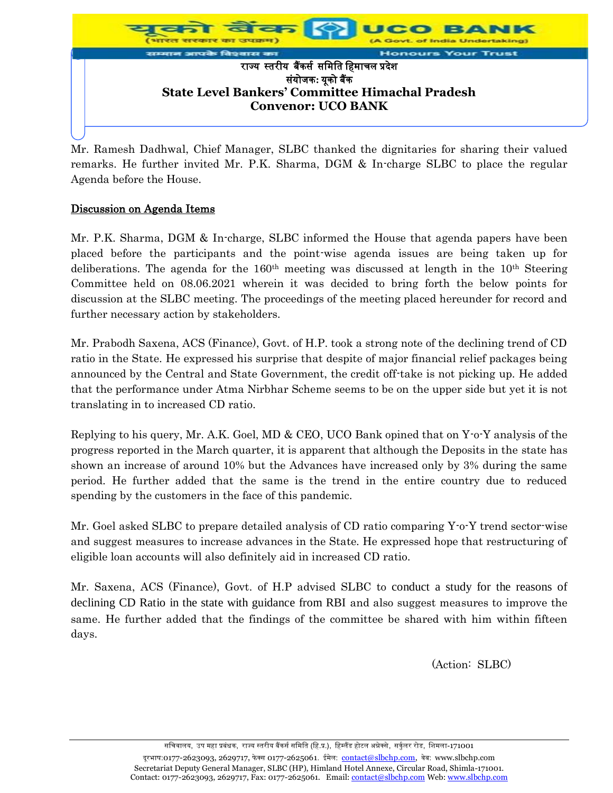

Mr. Ramesh Dadhwal, Chief Manager, SLBC thanked the dignitaries for sharing their valued remarks. He further invited Mr. P.K. Sharma, DGM & In-charge SLBC to place the regular Agenda before the House.

#### Discussion on Agenda Items

Mr. P.K. Sharma, DGM & In-charge, SLBC informed the House that agenda papers have been placed before the participants and the point-wise agenda issues are being taken up for deliberations. The agenda for the  $160<sup>th</sup>$  meeting was discussed at length in the  $10<sup>th</sup>$  Steering Committee held on 08.06.2021 wherein it was decided to bring forth the below points for discussion at the SLBC meeting. The proceedings of the meeting placed hereunder for record and further necessary action by stakeholders.

Mr. Prabodh Saxena, ACS (Finance), Govt. of H.P. took a strong note of the declining trend of CD ratio in the State. He expressed his surprise that despite of major financial relief packages being announced by the Central and State Government, the credit off-take is not picking up. He added that the performance under Atma Nirbhar Scheme seems to be on the upper side but yet it is not translating in to increased CD ratio.

Replying to his query, Mr. A.K. Goel, MD & CEO, UCO Bank opined that on Y-o-Y analysis of the progress reported in the March quarter, it is apparent that although the Deposits in the state has shown an increase of around 10% but the Advances have increased only by 3% during the same period. He further added that the same is the trend in the entire country due to reduced spending by the customers in the face of this pandemic.

Mr. Goel asked SLBC to prepare detailed analysis of CD ratio comparing Y-o-Y trend sector-wise and suggest measures to increase advances in the State. He expressed hope that restructuring of eligible loan accounts will also definitely aid in increased CD ratio.

Mr. Saxena, ACS (Finance), Govt. of H.P advised SLBC to conduct a study for the reasons of declining CD Ratio in the state with guidance from RBI and also suggest measures to improve the same. He further added that the findings of the committee be shared with him within fifteen days.

(Action: SLBC)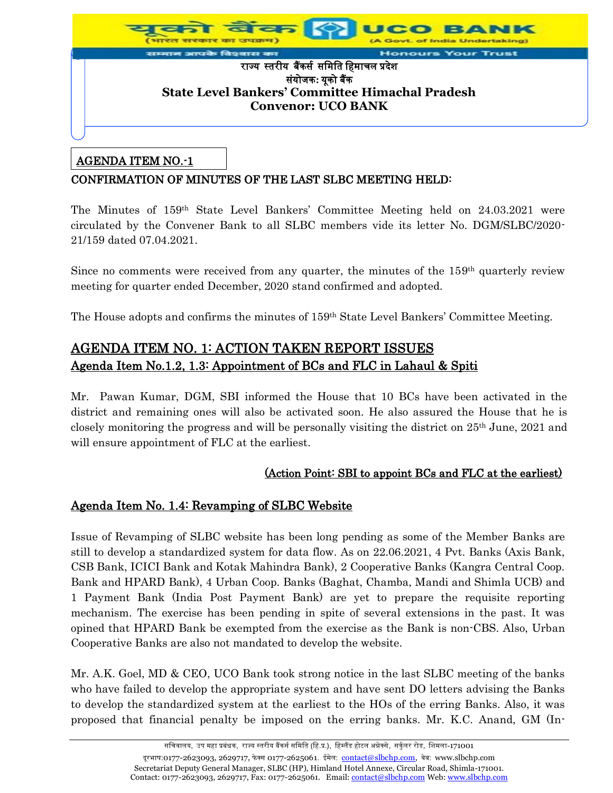

## AGENDA ITEM NO.-1

## CONFIRMATION OF MINUTES OF THE LAST SLBC MEETING HELD:

The Minutes of 159<sup>th</sup> State Level Bankers' Committee Meeting held on 24.03.2021 were circulated by the Convener Bank to all SLBC members vide its letter No. DGM/SLBC/2020- 21/159 dated 07.04.2021.

Since no comments were received from any quarter, the minutes of the 159<sup>th</sup> quarterly review meeting for quarter ended December, 2020 stand confirmed and adopted.

The House adopts and confirms the minutes of 159<sup>th</sup> State Level Bankers' Committee Meeting.

# AGENDA ITEM NO. 1: ACTION TAKEN REPORT ISSUES Agenda Item No.1.2, 1.3: Appointment of BCs and FLC in Lahaul & Spiti

Mr. Pawan Kumar, DGM, SBI informed the House that 10 BCs have been activated in the district and remaining ones will also be activated soon. He also assured the House that he is closely monitoring the progress and will be personally visiting the district on 25th June, 2021 and will ensure appointment of FLC at the earliest.

## (Action Point: SBI to appoint BCs and FLC at the earliest)

## Agenda Item No. 1.4: Revamping of SLBC Website

Issue of Revamping of SLBC website has been long pending as some of the Member Banks are still to develop a standardized system for data flow. As on 22.06.2021, 4 Pvt. Banks (Axis Bank, CSB Bank, ICICI Bank and Kotak Mahindra Bank), 2 Cooperative Banks (Kangra Central Coop. Bank and HPARD Bank), 4 Urban Coop. Banks (Baghat, Chamba, Mandi and Shimla UCB) and 1 Payment Bank (India Post Payment Bank) are yet to prepare the requisite reporting mechanism. The exercise has been pending in spite of several extensions in the past. It was opined that HPARD Bank be exempted from the exercise as the Bank is non-CBS. Also, Urban Cooperative Banks are also not mandated to develop the website.

Mr. A.K. Goel, MD & CEO, UCO Bank took strong notice in the last SLBC meeting of the banks who have failed to develop the appropriate system and have sent DO letters advising the Banks to develop the standardized system at the earliest to the HOs of the erring Banks. Also, it was proposed that financial penalty be imposed on the erring banks. Mr. K.C. Anand, GM (In-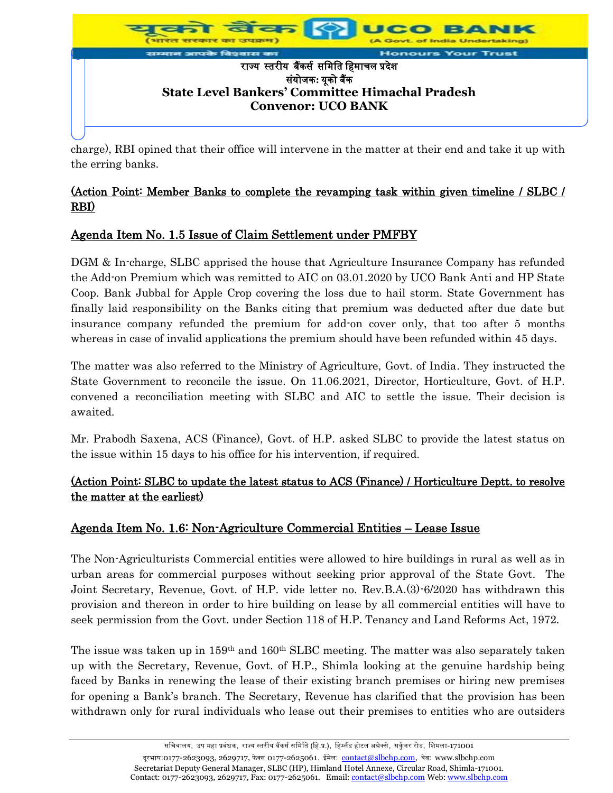

charge), RBI opined that their office will intervene in the matter at their end and take it up with the erring banks.

# (Action Point: Member Banks to complete the revamping task within given timeline / SLBC / RBI)

# Agenda Item No. 1.5 Issue of Claim Settlement under PMFBY

DGM & In-charge, SLBC apprised the house that Agriculture Insurance Company has refunded the Add-on Premium which was remitted to AIC on 03.01.2020 by UCO Bank Anti and HP State Coop. Bank Jubbal for Apple Crop covering the loss due to hail storm. State Government has finally laid responsibility on the Banks citing that premium was deducted after due date but insurance company refunded the premium for add-on cover only, that too after 5 months whereas in case of invalid applications the premium should have been refunded within 45 days.

The matter was also referred to the Ministry of Agriculture, Govt. of India. They instructed the State Government to reconcile the issue. On 11.06.2021, Director, Horticulture, Govt. of H.P. convened a reconciliation meeting with SLBC and AIC to settle the issue. Their decision is awaited.

Mr. Prabodh Saxena, ACS (Finance), Govt. of H.P. asked SLBC to provide the latest status on the issue within 15 days to his office for his intervention, if required.

# (Action Point: SLBC to update the latest status to ACS (Finance) / Horticulture Deptt. to resolve the matter at the earliest)

# Agenda Item No. 1.6: Non-Agriculture Commercial Entities – Lease Issue

The Non-Agriculturists Commercial entities were allowed to hire buildings in rural as well as in urban areas for commercial purposes without seeking prior approval of the State Govt. The Joint Secretary, Revenue, Govt. of H.P. vide letter no. Rev.B.A.(3)-6/2020 has withdrawn this provision and thereon in order to hire building on lease by all commercial entities will have to seek permission from the Govt. under Section 118 of H.P. Tenancy and Land Reforms Act, 1972.

The issue was taken up in 159<sup>th</sup> and 160<sup>th</sup> SLBC meeting. The matter was also separately taken up with the Secretary, Revenue, Govt. of H.P., Shimla looking at the genuine hardship being faced by Banks in renewing the lease of their existing branch premises or hiring new premises for opening a Bank's branch. The Secretary, Revenue has clarified that the provision has been withdrawn only for rural individuals who lease out their premises to entities who are outsiders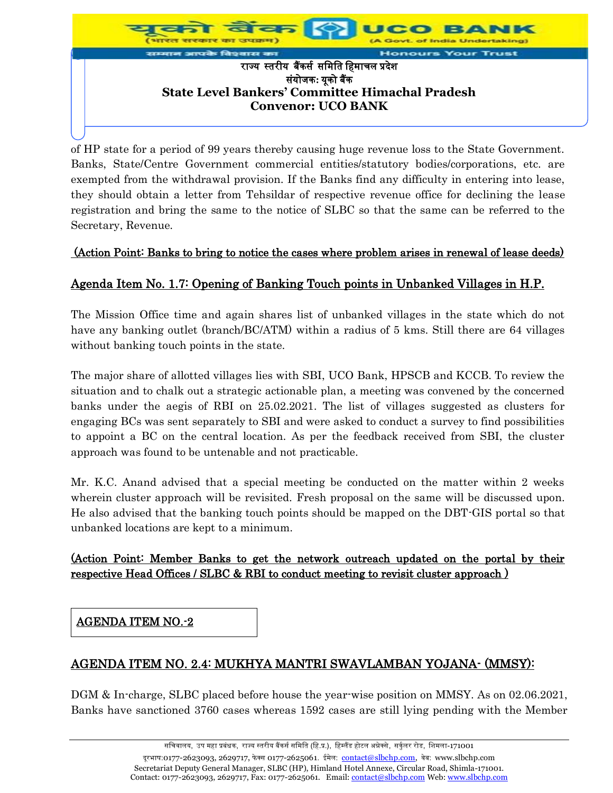

of HP state for a period of 99 years thereby causing huge revenue loss to the State Government. Banks, State/Centre Government commercial entities/statutory bodies/corporations, etc. are exempted from the withdrawal provision. If the Banks find any difficulty in entering into lease, they should obtain a letter from Tehsildar of respective revenue office for declining the lease registration and bring the same to the notice of SLBC so that the same can be referred to the Secretary, Revenue.

#### (Action Point: Banks to bring to notice the cases where problem arises in renewal of lease deeds)

# Agenda Item No. 1.7: Opening of Banking Touch points in Unbanked Villages in H.P.

The Mission Office time and again shares list of unbanked villages in the state which do not have any banking outlet (branch/BC/ATM) within a radius of 5 kms. Still there are 64 villages without banking touch points in the state.

The major share of allotted villages lies with SBI, UCO Bank, HPSCB and KCCB. To review the situation and to chalk out a strategic actionable plan, a meeting was convened by the concerned banks under the aegis of RBI on 25.02.2021. The list of villages suggested as clusters for engaging BCs was sent separately to SBI and were asked to conduct a survey to find possibilities to appoint a BC on the central location. As per the feedback received from SBI, the cluster approach was found to be untenable and not practicable.

Mr. K.C. Anand advised that a special meeting be conducted on the matter within 2 weeks wherein cluster approach will be revisited. Fresh proposal on the same will be discussed upon. He also advised that the banking touch points should be mapped on the DBT-GIS portal so that unbanked locations are kept to a minimum.

#### (Action Point: Member Banks to get the network outreach updated on the portal by their respective Head Offices / SLBC & RBI to conduct meeting to revisit cluster approach )

AGENDA ITEM NO.-2

# AGENDA ITEM NO. 2.4: MUKHYA MANTRI SWAVLAMBAN YOJANA- (MMSY):

DGM & In-charge, SLBC placed before house the year-wise position on MMSY. As on 02.06.2021, Banks have sanctioned 3760 cases whereas 1592 cases are still lying pending with the Member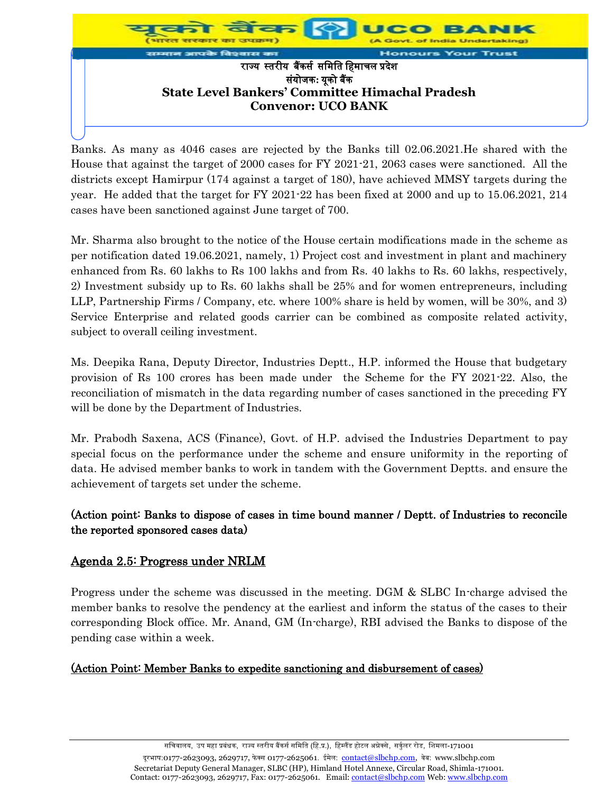

Banks. As many as 4046 cases are rejected by the Banks till 02.06.2021.He shared with the House that against the target of 2000 cases for FY 2021-21, 2063 cases were sanctioned. All the districts except Hamirpur (174 against a target of 180), have achieved MMSY targets during the year. He added that the target for FY 2021-22 has been fixed at 2000 and up to 15.06.2021, 214 cases have been sanctioned against June target of 700.

Mr. Sharma also brought to the notice of the House certain modifications made in the scheme as per notification dated 19.06.2021, namely, 1) Project cost and investment in plant and machinery enhanced from Rs. 60 lakhs to Rs 100 lakhs and from Rs. 40 lakhs to Rs. 60 lakhs, respectively, 2) Investment subsidy up to Rs. 60 lakhs shall be 25% and for women entrepreneurs, including LLP, Partnership Firms / Company, etc. where 100% share is held by women, will be 30%, and 3) Service Enterprise and related goods carrier can be combined as composite related activity, subject to overall ceiling investment.

Ms. Deepika Rana, Deputy Director, Industries Deptt., H.P. informed the House that budgetary provision of Rs 100 crores has been made under the Scheme for the FY 2021-22. Also, the reconciliation of mismatch in the data regarding number of cases sanctioned in the preceding FY will be done by the Department of Industries.

Mr. Prabodh Saxena, ACS (Finance), Govt. of H.P. advised the Industries Department to pay special focus on the performance under the scheme and ensure uniformity in the reporting of data. He advised member banks to work in tandem with the Government Deptts. and ensure the achievement of targets set under the scheme.

## (Action point: Banks to dispose of cases in time bound manner / Deptt. of Industries to reconcile the reported sponsored cases data)

## Agenda 2.5: Progress under NRLM

Progress under the scheme was discussed in the meeting. DGM & SLBC In-charge advised the member banks to resolve the pendency at the earliest and inform the status of the cases to their corresponding Block office. Mr. Anand, GM (In-charge), RBI advised the Banks to dispose of the pending case within a week.

## (Action Point: Member Banks to expedite sanctioning and disbursement of cases)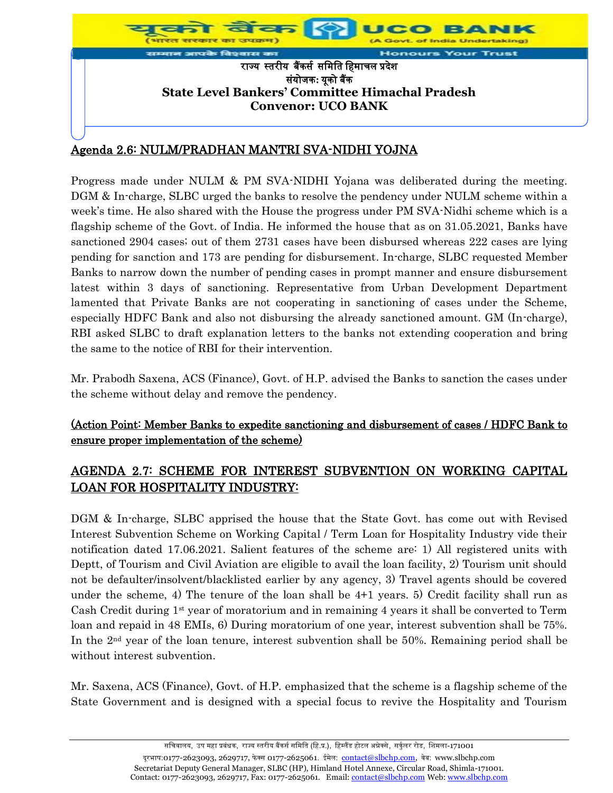

# Agenda 2.6: NULM/PRADHAN MANTRI SVA-NIDHI YOJNA

Progress made under NULM & PM SVA-NIDHI Yojana was deliberated during the meeting. DGM & In-charge, SLBC urged the banks to resolve the pendency under NULM scheme within a week's time. He also shared with the House the progress under PM SVA-Nidhi scheme which is a flagship scheme of the Govt. of India. He informed the house that as on 31.05.2021, Banks have sanctioned 2904 cases; out of them 2731 cases have been disbursed whereas 222 cases are lying pending for sanction and 173 are pending for disbursement. In-charge, SLBC requested Member Banks to narrow down the number of pending cases in prompt manner and ensure disbursement latest within 3 days of sanctioning. Representative from Urban Development Department lamented that Private Banks are not cooperating in sanctioning of cases under the Scheme, especially HDFC Bank and also not disbursing the already sanctioned amount. GM (In-charge), RBI asked SLBC to draft explanation letters to the banks not extending cooperation and bring the same to the notice of RBI for their intervention.

Mr. Prabodh Saxena, ACS (Finance), Govt. of H.P. advised the Banks to sanction the cases under the scheme without delay and remove the pendency.

## (Action Point: Member Banks to expedite sanctioning and disbursement of cases / HDFC Bank to ensure proper implementation of the scheme)

# AGENDA 2.7: SCHEME FOR INTEREST SUBVENTION ON WORKING CAPITAL LOAN FOR HOSPITALITY INDUSTRY:

DGM & In-charge, SLBC apprised the house that the State Govt. has come out with Revised Interest Subvention Scheme on Working Capital / Term Loan for Hospitality Industry vide their notification dated 17.06.2021. Salient features of the scheme are: 1) All registered units with Deptt, of Tourism and Civil Aviation are eligible to avail the loan facility, 2) Tourism unit should not be defaulter/insolvent/blacklisted earlier by any agency, 3) Travel agents should be covered under the scheme, 4) The tenure of the loan shall be 4+1 years. 5) Credit facility shall run as Cash Credit during 1 st year of moratorium and in remaining 4 years it shall be converted to Term loan and repaid in 48 EMIs, 6) During moratorium of one year, interest subvention shall be 75%. In the 2nd year of the loan tenure, interest subvention shall be 50%. Remaining period shall be without interest subvention.

Mr. Saxena, ACS (Finance), Govt. of H.P. emphasized that the scheme is a flagship scheme of the State Government and is designed with a special focus to revive the Hospitality and Tourism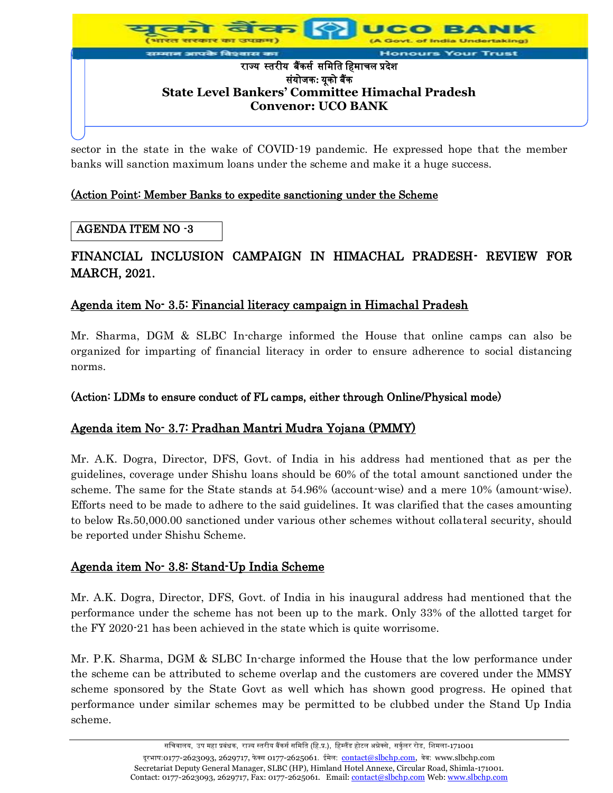

sector in the state in the wake of COVID-19 pandemic. He expressed hope that the member banks will sanction maximum loans under the scheme and make it a huge success.

#### (Action Point: Member Banks to expedite sanctioning under the Scheme

#### AGENDA ITEM NO -3

# FINANCIAL INCLUSION CAMPAIGN IN HIMACHAL PRADESH- REVIEW FOR MARCH, 2021.

## Agenda item No- 3.5: Financial literacy campaign in Himachal Pradesh

Mr. Sharma, DGM & SLBC In-charge informed the House that online camps can also be organized for imparting of financial literacy in order to ensure adherence to social distancing norms.

#### (Action: LDMs to ensure conduct of FL camps, either through Online/Physical mode)

## Agenda item No- 3.7: Pradhan Mantri Mudra Yojana (PMMY)

Mr. A.K. Dogra, Director, DFS, Govt. of India in his address had mentioned that as per the guidelines, coverage under Shishu loans should be 60% of the total amount sanctioned under the scheme. The same for the State stands at 54.96% (account-wise) and a mere 10% (amount-wise). Efforts need to be made to adhere to the said guidelines. It was clarified that the cases amounting to below Rs.50,000.00 sanctioned under various other schemes without collateral security, should be reported under Shishu Scheme.

## Agenda item No- 3.8: Stand-Up India Scheme

Mr. A.K. Dogra, Director, DFS, Govt. of India in his inaugural address had mentioned that the performance under the scheme has not been up to the mark. Only 33% of the allotted target for the FY 2020-21 has been achieved in the state which is quite worrisome.

Mr. P.K. Sharma, DGM & SLBC In-charge informed the House that the low performance under the scheme can be attributed to scheme overlap and the customers are covered under the MMSY scheme sponsored by the State Govt as well which has shown good progress. He opined that performance under similar schemes may be permitted to be clubbed under the Stand Up India scheme.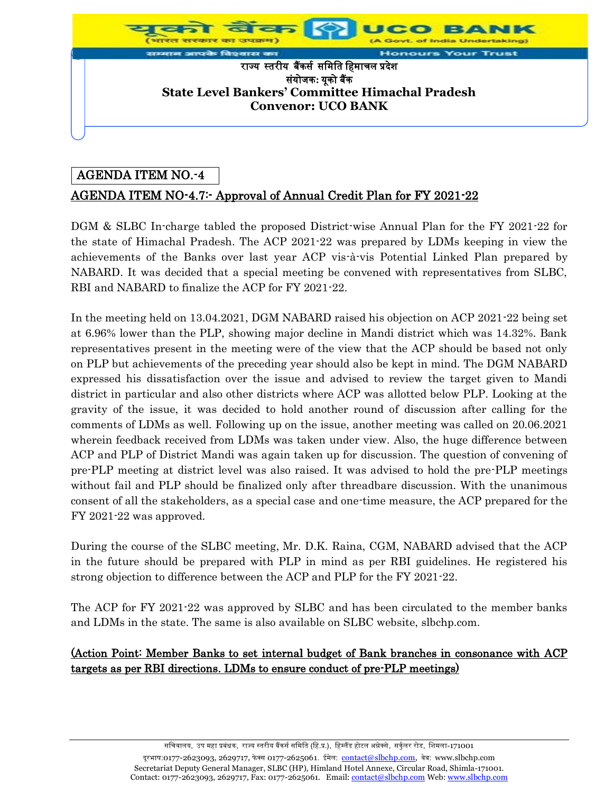

## AGENDA ITEM NO.-4

# AGENDA ITEM NO-4.7:- Approval of Annual Credit Plan for FY 2021-22

DGM & SLBC In-charge tabled the proposed District-wise Annual Plan for the FY 2021-22 for the state of Himachal Pradesh. The ACP 2021-22 was prepared by LDMs keeping in view the achievements of the Banks over last year ACP vis-à-vis Potential Linked Plan prepared by NABARD. It was decided that a special meeting be convened with representatives from SLBC, RBI and NABARD to finalize the ACP for FY 2021-22.

In the meeting held on 13.04.2021, DGM NABARD raised his objection on ACP 2021-22 being set at 6.96% lower than the PLP, showing major decline in Mandi district which was 14.32%. Bank representatives present in the meeting were of the view that the ACP should be based not only on PLP but achievements of the preceding year should also be kept in mind. The DGM NABARD expressed his dissatisfaction over the issue and advised to review the target given to Mandi district in particular and also other districts where ACP was allotted below PLP. Looking at the gravity of the issue, it was decided to hold another round of discussion after calling for the comments of LDMs as well. Following up on the issue, another meeting was called on 20.06.2021 wherein feedback received from LDMs was taken under view. Also, the huge difference between ACP and PLP of District Mandi was again taken up for discussion. The question of convening of pre-PLP meeting at district level was also raised. It was advised to hold the pre-PLP meetings without fail and PLP should be finalized only after threadbare discussion. With the unanimous consent of all the stakeholders, as a special case and one-time measure, the ACP prepared for the FY 2021-22 was approved.

During the course of the SLBC meeting, Mr. D.K. Raina, CGM, NABARD advised that the ACP in the future should be prepared with PLP in mind as per RBI guidelines. He registered his strong objection to difference between the ACP and PLP for the FY 2021-22.

The ACP for FY 2021-22 was approved by SLBC and has been circulated to the member banks and LDMs in the state. The same is also available on SLBC website, slbchp.com.

#### (Action Point: Member Banks to set internal budget of Bank branches in consonance with ACP targets as per RBI directions. LDMs to ensure conduct of pre-PLP meetings)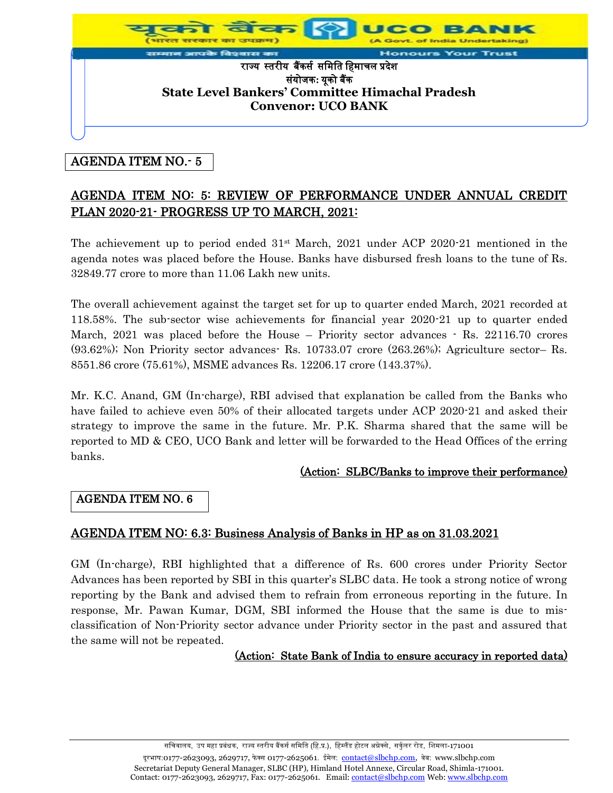

# AGENDA ITEM NO.- 5

# AGENDA ITEM NO: 5: REVIEW OF PERFORMANCE UNDER ANNUAL CREDIT PLAN 2020-21- PROGRESS UP TO MARCH, 2021:

The achievement up to period ended  $31<sup>st</sup>$  March, 2021 under ACP 2020-21 mentioned in the agenda notes was placed before the House. Banks have disbursed fresh loans to the tune of Rs. 32849.77 crore to more than 11.06 Lakh new units.

The overall achievement against the target set for up to quarter ended March, 2021 recorded at 118.58%. The sub-sector wise achievements for financial year 2020-21 up to quarter ended March, 2021 was placed before the House – Priority sector advances  $\cdot$  Rs. 22116.70 crores (93.62%); Non Priority sector advances- Rs. 10733.07 crore (263.26%); Agriculture sector– Rs. 8551.86 crore (75.61%), MSME advances Rs. 12206.17 crore (143.37%).

Mr. K.C. Anand, GM (In-charge), RBI advised that explanation be called from the Banks who have failed to achieve even 50% of their allocated targets under ACP 2020-21 and asked their strategy to improve the same in the future. Mr. P.K. Sharma shared that the same will be reported to MD & CEO, UCO Bank and letter will be forwarded to the Head Offices of the erring banks.

## (Action: SLBC/Banks to improve their performance)

## AGENDA ITEM NO. 6

# AGENDA ITEM NO: 6.3: Business Analysis of Banks in HP as on 31.03.2021

GM (In-charge), RBI highlighted that a difference of Rs. 600 crores under Priority Sector Advances has been reported by SBI in this quarter's SLBC data. He took a strong notice of wrong reporting by the Bank and advised them to refrain from erroneous reporting in the future. In response, Mr. Pawan Kumar, DGM, SBI informed the House that the same is due to misclassification of Non-Priority sector advance under Priority sector in the past and assured that the same will not be repeated.

#### (Action: State Bank of India to ensure accuracy in reported data)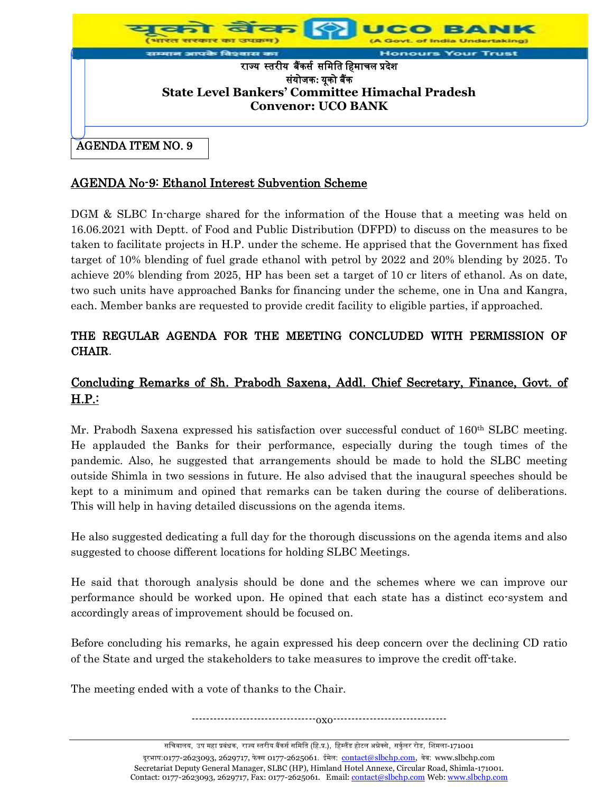

## AGENDA No-9: Ethanol Interest Subvention Scheme

DGM & SLBC In-charge shared for the information of the House that a meeting was held on 16.06.2021 with Deptt. of Food and Public Distribution (DFPD) to discuss on the measures to be taken to facilitate projects in H.P. under the scheme. He apprised that the Government has fixed target of 10% blending of fuel grade ethanol with petrol by 2022 and 20% blending by 2025. To achieve 20% blending from 2025, HP has been set a target of 10 cr liters of ethanol. As on date, two such units have approached Banks for financing under the scheme, one in Una and Kangra, each. Member banks are requested to provide credit facility to eligible parties, if approached.

# THE REGULAR AGENDA FOR THE MEETING CONCLUDED WITH PERMISSION OF CHAIR.

# Concluding Remarks of Sh. Prabodh Saxena, Addl. Chief Secretary, Finance, Govt. of H.P.:

Mr. Prabodh Saxena expressed his satisfaction over successful conduct of 160<sup>th</sup> SLBC meeting. He applauded the Banks for their performance, especially during the tough times of the pandemic. Also, he suggested that arrangements should be made to hold the SLBC meeting outside Shimla in two sessions in future. He also advised that the inaugural speeches should be kept to a minimum and opined that remarks can be taken during the course of deliberations. This will help in having detailed discussions on the agenda items.

He also suggested dedicating a full day for the thorough discussions on the agenda items and also suggested to choose different locations for holding SLBC Meetings.

He said that thorough analysis should be done and the schemes where we can improve our performance should be worked upon. He opined that each state has a distinct eco-system and accordingly areas of improvement should be focused on.

Before concluding his remarks, he again expressed his deep concern over the declining CD ratio of the State and urged the stakeholders to take measures to improve the credit off-take.

The meeting ended with a vote of thanks to the Chair.

----------------------------------oxo-------------------------------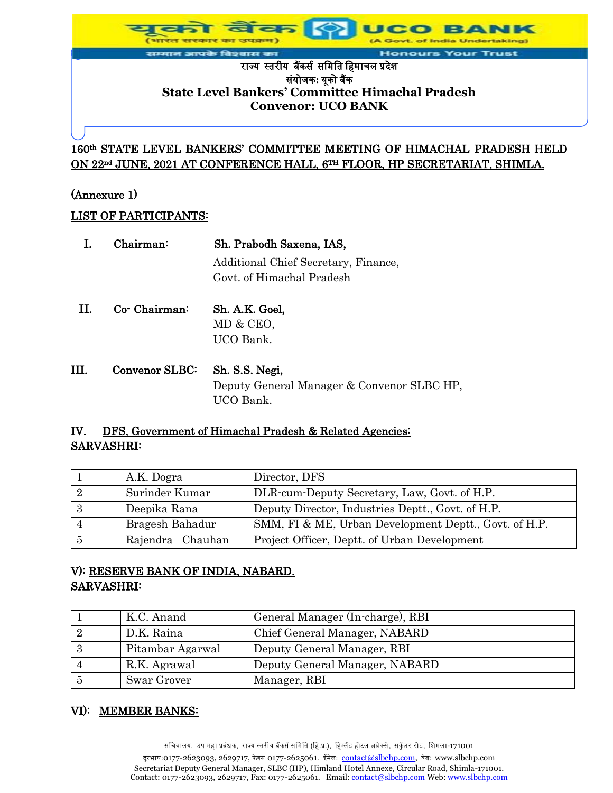t. of India Undertaking)

#### आपके विश्वास का **Honours Your Trust** राज्यस्तरीयबैंकर्स र्मिमत मििाचल प्रदेश र्ंयोजक**:** यूको बैंक **State Level Bankers' Committee Himachal Pradesh Convenor: UCO BANK**

160th STATE LEVEL BANKERS' COMMITTEE MEETING OF HIMACHAL PRADESH HELD ON 22<sup>nd</sup> JUNE, 2021 AT CONFERENCE HALL, 6<sup>th</sup> FLOOR, HP SECRETARIAT, SHIMLA.

#### (Annexure 1)

#### LIST OF PARTICIPANTS:

|      | $Chairman$     | Sh. Prabodh Saxena, IAS,                   |
|------|----------------|--------------------------------------------|
|      |                | Additional Chief Secretary, Finance,       |
|      |                | Govt. of Himachal Pradesh                  |
| Н.   | Co- Chairman:  | Sh. A.K. Goel,                             |
|      |                | MD & CEO,                                  |
|      |                | UCO Bank.                                  |
| III. | Convenor SLBC: | Sh. S.S. Negi,                             |
|      |                | Deputy General Manager & Convenor SLBC HP, |
|      |                | UCO Bank.                                  |

## IV. DFS, Government of Himachal Pradesh & Related Agencies: SARVASHRI:

|                           | A.K. Dogra       | Director, DFS                                         |
|---------------------------|------------------|-------------------------------------------------------|
| $\overline{\phantom{a}2}$ | Surinder Kumar   | DLR-cum-Deputy Secretary, Law, Govt. of H.P.          |
| -3                        | Deepika Rana     | Deputy Director, Industries Deptt., Govt. of H.P.     |
| 4                         | Bragesh Bahadur  | SMM, FI & ME, Urban Development Deptt., Govt. of H.P. |
| -5                        | Rajendra Chauhan | Project Officer, Deptt. of Urban Development          |

# V): RESERVE BANK OF INDIA, NABARD. SARVASHRI:

|   | K.C. Anand       | General Manager (In-charge), RBI |
|---|------------------|----------------------------------|
|   | D.K. Raina       | Chief General Manager, NABARD    |
| 3 | Pitambar Agarwal | Deputy General Manager, RBI      |
|   | R.K. Agrawal     | Deputy General Manager, NABARD   |
|   | Swar Grover      | Manager, RBI                     |

#### VI): MEMBER BANKS: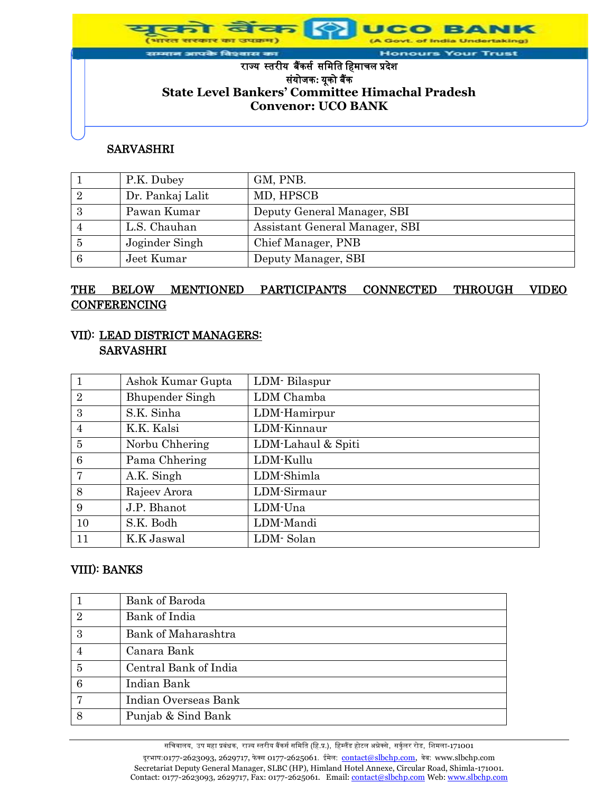of India Undertaking)

**Honours Your Trust** 

#### राज्यस्तरीयबैंकर्स र्मिमत मििाचल प्रदेश र्ंयोजक**:** यूको बैंक **State Level Bankers' Committee Himachal Pradesh Convenor: UCO BANK**

#### SARVASHRI

.<br>तम आपके विश्वास का

|   | P.K. Dubey       | GM, PNB.                       |
|---|------------------|--------------------------------|
|   | Dr. Pankaj Lalit | MD, HPSCB                      |
|   | Pawan Kumar      | Deputy General Manager, SBI    |
|   | L.S. Chauhan     | Assistant General Manager, SBI |
| 5 | Joginder Singh   | Chief Manager, PNB             |
|   | Jeet Kumar       | Deputy Manager, SBI            |

# THE BELOW MENTIONED PARTICIPANTS CONNECTED THROUGH VIDEO **CONFERENCING**

## VII): LEAD DISTRICT MANAGERS: SARVASHRI

|                | Ashok Kumar Gupta      | LDM-Bilaspur       |
|----------------|------------------------|--------------------|
| $\overline{2}$ | <b>Bhupender Singh</b> | LDM Chamba         |
| 3              | S.K. Sinha             | LDM-Hamirpur       |
| $\overline{4}$ | K.K. Kalsi             | LDM-Kinnaur        |
| $\overline{5}$ | Norbu Chhering         | LDM-Lahaul & Spiti |
| 6              | Pama Chhering          | LDM-Kullu          |
| $\overline{7}$ | A.K. Singh             | LDM-Shimla         |
| 8              | Rajeev Arora           | LDM-Sirmaur        |
| 9              | J.P. Bhanot            | LDM-Una            |
| 10             | S.K. Bodh              | LDM-Mandi          |
| 11             | K.K Jaswal             | LDM-Solan          |

#### VIII): BANKS

|                 | Bank of Baroda        |
|-----------------|-----------------------|
| $\overline{2}$  | Bank of India         |
| 3               | Bank of Maharashtra   |
| $\overline{4}$  | Canara Bank           |
| $\overline{5}$  | Central Bank of India |
| $6\phantom{.}6$ | Indian Bank           |
| 7               | Indian Overseas Bank  |
| 8               | Punjab & Sind Bank    |

सचिवालय, उप महा प्रबंधक, राज्य स्तरीय बैंकर्स समिति (हि.प्र.), हिम्लैंड होटल अन्नेक्से, सर्कुलर रोड, शिमला-171001 दूरभाष:0177-2623093, 2629717, फेक्स 0177-2625061. ईमेल: contact@slbchp.com, वेब: www.slbchp.com Secretariat Deputy General Manager, SLBC (HP), Himland Hotel Annexe, Circular Road, Shimla-171001. Contact: 0177-2623093, 2629717, Fax: 0177-2625061. Email: contact@slbchp.com Web: www.slbchp.com